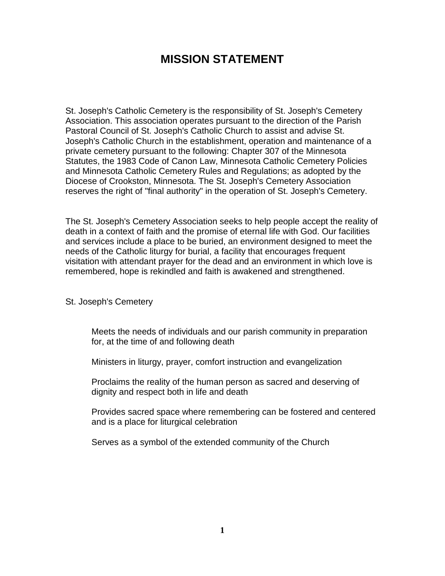# **MISSION STATEMENT**

St. Joseph's Catholic Cemetery is the responsibility of St. Joseph's Cemetery Association. This association operates pursuant to the direction of the Parish Pastoral Council of St. Joseph's Catholic Church to assist and advise St. Joseph's Catholic Church in the establishment, operation and maintenance of a private cemetery pursuant to the following: Chapter 307 of the Minnesota Statutes, the 1983 Code of Canon Law, Minnesota Catholic Cemetery Policies and Minnesota Catholic Cemetery Rules and Regulations; as adopted by the Diocese of Crookston, Minnesota. The St. Joseph's Cemetery Association reserves the right of "final authority" in the operation of St. Joseph's Cemetery.

The St. Joseph's Cemetery Association seeks to help people accept the reality of death in a context of faith and the promise of eternal life with God. Our facilities and services include a place to be buried, an environment designed to meet the needs of the Catholic liturgy for burial, a facility that encourages frequent visitation with attendant prayer for the dead and an environment in which love is remembered, hope is rekindled and faith is awakened and strengthened.

St. Joseph's Cemetery

Meets the needs of individuals and our parish community in preparation for, at the time of and following death

Ministers in liturgy, prayer, comfort instruction and evangelization

Proclaims the reality of the human person as sacred and deserving of dignity and respect both in life and death

Provides sacred space where remembering can be fostered and centered and is a place for liturgical celebration

Serves as a symbol of the extended community of the Church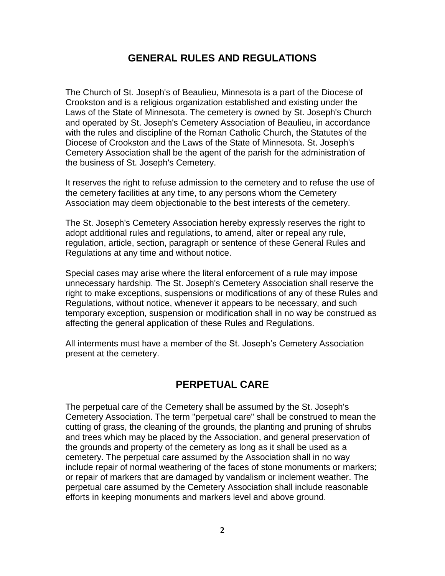## **GENERAL RULES AND REGULATIONS**

The Church of St. Joseph's of Beaulieu, Minnesota is a part of the Diocese of Crookston and is a religious organization established and existing under the Laws of the State of Minnesota. The cemetery is owned by St. Joseph's Church and operated by St. Joseph's Cemetery Association of Beaulieu, in accordance with the rules and discipline of the Roman Catholic Church, the Statutes of the Diocese of Crookston and the Laws of the State of Minnesota. St. Joseph's Cemetery Association shall be the agent of the parish for the administration of the business of St. Joseph's Cemetery.

It reserves the right to refuse admission to the cemetery and to refuse the use of the cemetery facilities at any time, to any persons whom the Cemetery Association may deem objectionable to the best interests of the cemetery.

The St. Joseph's Cemetery Association hereby expressly reserves the right to adopt additional rules and regulations, to amend, alter or repeal any rule, regulation, article, section, paragraph or sentence of these General Rules and Regulations at any time and without notice.

Special cases may arise where the literal enforcement of a rule may impose unnecessary hardship. The St. Joseph's Cemetery Association shall reserve the right to make exceptions, suspensions or modifications of any of these Rules and Regulations, without notice, whenever it appears to be necessary, and such temporary exception, suspension or modification shall in no way be construed as affecting the general application of these Rules and Regulations.

All interments must have a member of the St. Joseph's Cemetery Association present at the cemetery.

## **PERPETUAL CARE**

The perpetual care of the Cemetery shall be assumed by the St. Joseph's Cemetery Association. The term "perpetual care" shall be construed to mean the cutting of grass, the cleaning of the grounds, the planting and pruning of shrubs and trees which may be placed by the Association, and general preservation of the grounds and property of the cemetery as long as it shall be used as a cemetery. The perpetual care assumed by the Association shall in no way include repair of normal weathering of the faces of stone monuments or markers; or repair of markers that are damaged by vandalism or inclement weather. The perpetual care assumed by the Cemetery Association shall include reasonable efforts in keeping monuments and markers level and above ground.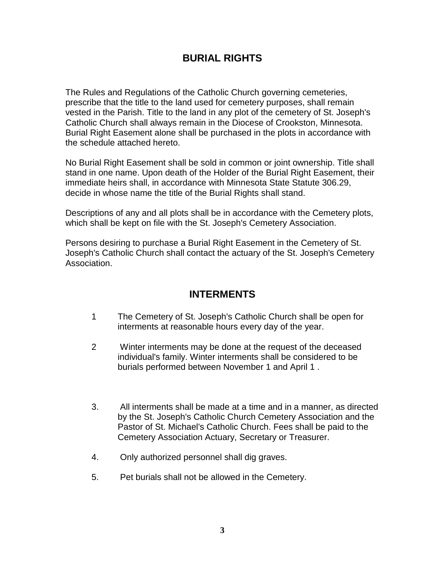## **BURIAL RIGHTS**

The Rules and Regulations of the Catholic Church governing cemeteries, prescribe that the title to the land used for cemetery purposes, shall remain vested in the Parish. Title to the land in any plot of the cemetery of St. Joseph's Catholic Church shall always remain in the Diocese of Crookston, Minnesota. Burial Right Easement alone shall be purchased in the plots in accordance with the schedule attached hereto.

No Burial Right Easement shall be sold in common or joint ownership. Title shall stand in one name. Upon death of the Holder of the Burial Right Easement, their immediate heirs shall, in accordance with Minnesota State Statute 306.29, decide in whose name the title of the Burial Rights shall stand.

Descriptions of any and all plots shall be in accordance with the Cemetery plots, which shall be kept on file with the St. Joseph's Cemetery Association.

Persons desiring to purchase a Burial Right Easement in the Cemetery of St. Joseph's Catholic Church shall contact the actuary of the St. Joseph's Cemetery Association.

## **INTERMENTS**

- 1 The Cemetery of St. Joseph's Catholic Church shall be open for interments at reasonable hours every day of the year.
- 2 Winter interments may be done at the request of the deceased individual's family. Winter interments shall be considered to be burials performed between November 1 and April 1 .
- 3. All interments shall be made at a time and in a manner, as directed by the St. Joseph's Catholic Church Cemetery Association and the Pastor of St. Michael's Catholic Church. Fees shall be paid to the Cemetery Association Actuary, Secretary or Treasurer.
- 4. Only authorized personnel shall dig graves.
- 5. Pet burials shall not be allowed in the Cemetery.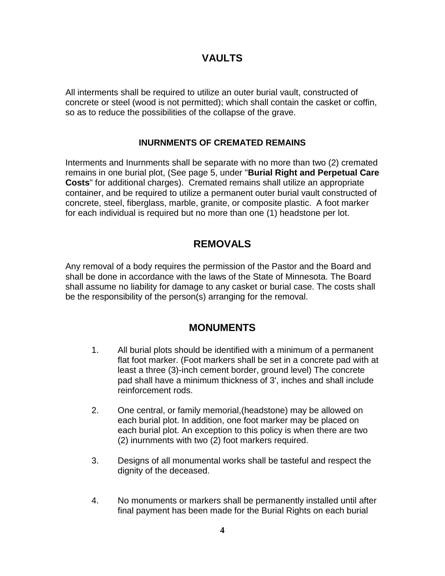## **VAULTS**

All interments shall be required to utilize an outer burial vault, constructed of concrete or steel (wood is not permitted); which shall contain the casket or coffin, so as to reduce the possibilities of the collapse of the grave.

## **INURNMENTS OF CREMATED REMAINS**

Interments and Inurnments shall be separate with no more than two (2) cremated remains in one burial plot, (See page 5, under "**Burial Right and Perpetual Care Costs**" for additional charges). Cremated remains shall utilize an appropriate container, and be required to utilize a permanent outer burial vault constructed of concrete, steel, fiberglass, marble, granite, or composite plastic. A foot marker for each individual is required but no more than one (1) headstone per lot.

## **REMOVALS**

Any removal of a body requires the permission of the Pastor and the Board and shall be done in accordance with the laws of the State of Minnesota. The Board shall assume no liability for damage to any casket or burial case. The costs shall be the responsibility of the person(s) arranging for the removal.

## **MONUMENTS**

- 1. All burial plots should be identified with a minimum of a permanent flat foot marker. (Foot markers shall be set in a concrete pad with at least a three (3)-inch cement border, ground level) The concrete pad shall have a minimum thickness of 3', inches and shall include reinforcement rods.
- 2. One central, or family memorial,(headstone) may be allowed on each burial plot. In addition, one foot marker may be placed on each burial plot. An exception to this policy is when there are two (2) inurnments with two (2) foot markers required.
- 3. Designs of all monumental works shall be tasteful and respect the dignity of the deceased.
- 4. No monuments or markers shall be permanently installed until after final payment has been made for the Burial Rights on each burial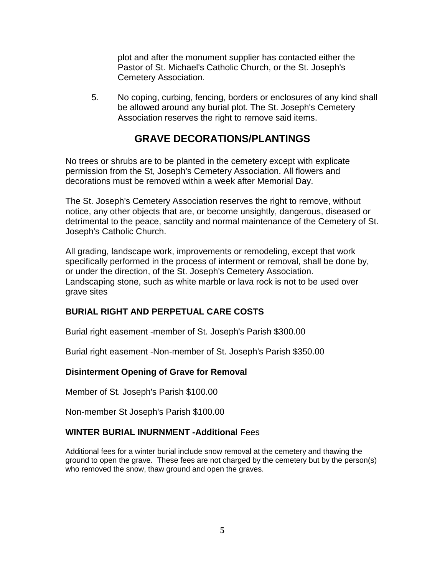plot and after the monument supplier has contacted either the Pastor of St. Michael's Catholic Church, or the St. Joseph's Cemetery Association.

5. No coping, curbing, fencing, borders or enclosures of any kind shall be allowed around any burial plot. The St. Joseph's Cemetery Association reserves the right to remove said items.

## **GRAVE DECORATIONS/PLANTINGS**

No trees or shrubs are to be planted in the cemetery except with explicate permission from the St, Joseph's Cemetery Association. All flowers and decorations must be removed within a week after Memorial Day.

The St. Joseph's Cemetery Association reserves the right to remove, without notice, any other objects that are, or become unsightly, dangerous, diseased or detrimental to the peace, sanctity and normal maintenance of the Cemetery of St. Joseph's Catholic Church.

All grading, landscape work, improvements or remodeling, except that work specifically performed in the process of interment or removal, shall be done by, or under the direction, of the St. Joseph's Cemetery Association. Landscaping stone, such as white marble or lava rock is not to be used over grave sites

## **BURIAL RIGHT AND PERPETUAL CARE COSTS**

Burial right easement -member of St. Joseph's Parish \$300.00

Burial right easement -Non-member of St. Joseph's Parish \$350.00

## **Disinterment Opening of Grave for Removal**

Member of St. Joseph's Parish \$100.00

Non-member St Joseph's Parish \$100.00

## **WINTER BURIAL INURNMENT -Additional** Fees

Additional fees for a winter burial include snow removal at the cemetery and thawing the ground to open the grave. These fees are not charged by the cemetery but by the person(s) who removed the snow, thaw ground and open the graves.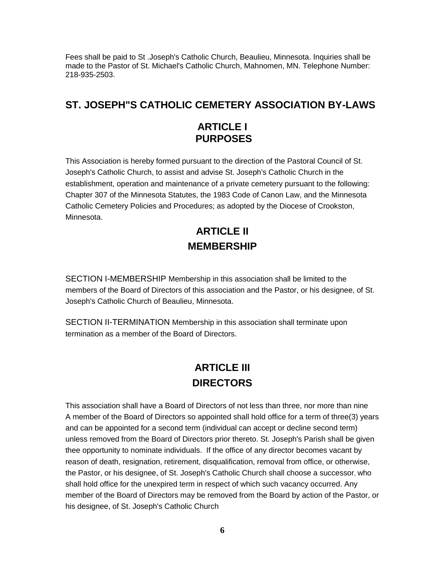Fees shall be paid to St .Joseph's Catholic Church, Beaulieu, Minnesota. Inquiries shall be made to the Pastor of St. Michael's Catholic Church, Mahnomen, MN. Telephone Number: 218-935-2503.

## **ST. JOSEPH"S CATHOLIC CEMETERY ASSOCIATION BY-LAWS**

## **ARTICLE I PURPOSES**

This Association is hereby formed pursuant to the direction of the Pastoral Council of St. Joseph's Catholic Church, to assist and advise St. Joseph's Catholic Church in the establishment, operation and maintenance of a private cemetery pursuant to the following: Chapter 307 of the Minnesota Statutes, the 1983 Code of Canon Law, and the Minnesota Catholic Cemetery Policies and Procedures; as adopted by the Diocese of Crookston, Minnesota.

# **ARTICLE II MEMBERSHIP**

SECTION I-MEMBERSHIP Membership in this association shall be limited to the members of the Board of Directors of this association and the Pastor, or his designee, of St. Joseph's Catholic Church of Beaulieu, Minnesota.

SECTION II-TERMINATION Membership in this association shall terminate upon termination as a member of the Board of Directors.

# **ARTICLE III DIRECTORS**

This association shall have a Board of Directors of not less than three, nor more than nine A member of the Board of Directors so appointed shall hold office for a term of three(3) years and can be appointed for a second term (individual can accept or decline second term) unless removed from the Board of Directors prior thereto. St. Joseph's Parish shall be given thee opportunity to nominate individuals. If the office of any director becomes vacant by reason of death, resignation, retirement, disqualification, removal from office, or otherwise, the Pastor, or his designee, of St. Joseph's Catholic Church shall choose a successor, who shall hold office for the unexpired term in respect of which such vacancy occurred. Any member of the Board of Directors may be removed from the Board by action of the Pastor, or his designee, of St. Joseph's Catholic Church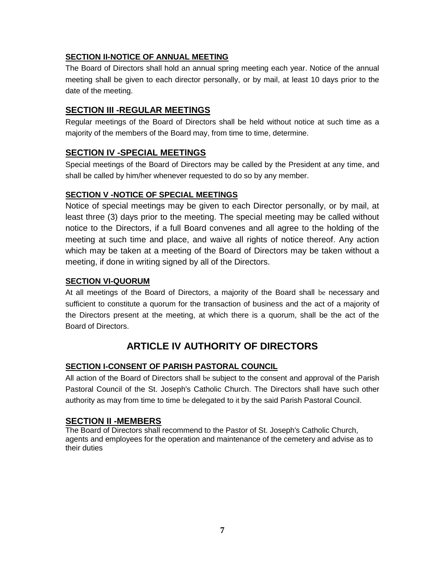## **SECTION II-NOTICE OF ANNUAL MEETING**

The Board of Directors shall hold an annual spring meeting each year. Notice of the annual meeting shall be given to each director personally, or by mail, at least 10 days prior to the date of the meeting.

## **SECTION III -REGULAR MEETlNGS**

Regular meetings of the Board of Directors shall be held without notice at such time as a majority of the members of the Board may, from time to time, determine.

## **SECTlON IV -SPECIAL MEETlNGS**

Special meetings of the Board of Directors may be called by the President at any time, and shall be called by him/her whenever requested to do so by any member.

## **SECTION V -NOTICE OF SPECIAL MEETlNGS**

Notice of special meetings may be given to each Director personally, or by mail, at least three (3) days prior to the meeting. The special meeting may be called without notice to the Directors, if a full Board convenes and all agree to the holding of the meeting at such time and place, and waive all rights of notice thereof. Any action which may be taken at a meeting of the Board of Directors may be taken without a meeting, if done in writing signed by all of the Directors.

### **SECTION VI-QUORUM**

At all meetings of the Board of Directors, a majority of the Board shall be necessary and sufficient to constitute a quorum for the transaction of business and the act of a majority of the Directors present at the meeting, at which there is a quorum, shall be the act of the Board of Directors.

## **ARTICLE IV AUTHORITY OF DIRECTORS**

### **SECTlON I-CONSENT OF PARISH PASTORAL COUNCIL**

All action of the Board of Directors shall be subject to the consent and approval of the Parish Pastoral Council of the St. Joseph's Catholic Church. The Directors shall have such other authority as may from time to time be delegated to it by the said Parish Pastoral Council.

### **SECTION II -MEMBERS**

The Board of Directors shall recommend to the Pastor of St. Joseph's Catholic Church, agents and employees for the operation and maintenance of the cemetery and advise as to their duties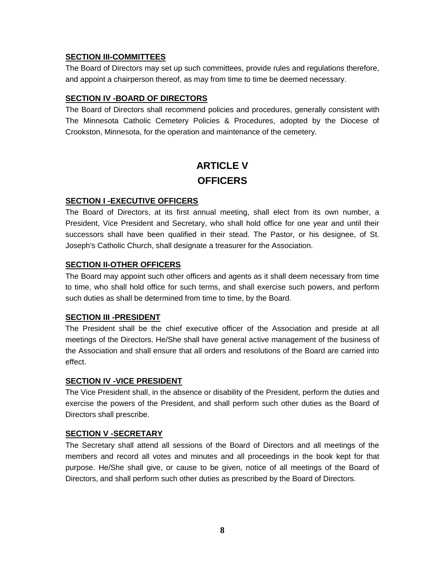#### **SECTION III-COMMITTEES**

The Board of Directors may set up such committees, provide rules and regulations therefore, and appoint a chairperson thereof, as may from time to time be deemed necessary.

### **SECTION IV -BOARD OF DIRECTORS**

The Board of Directors shall recommend policies and procedures, generally consistent with The Minnesota Catholic Cemetery Policies & Procedures, adopted by the Diocese of Crookston, Minnesota, for the operation and maintenance of the cemetery.

# **ARTICLE V OFFICERS**

#### **SECTION I -EXECUTIVE OFFICERS**

The Board of Directors, at its first annual meeting, shall elect from its own number, a President, Vice President and Secretary, who shall hold office for one year and until their successors shall have been qualified in their stead. The Pastor, or his designee, of St. Joseph's Catholic Church, shall designate a treasurer for the Association.

#### **SECTION II-OTHER OFFICERS**

The Board may appoint such other officers and agents as it shall deem necessary from time to time, who shall hold office for such terms, and shall exercise such powers, and perform such duties as shall be determined from time to time, by the Board.

#### **SECTION III -PRESIDENT**

The President shall be the chief executive officer of the Association and preside at all meetings of the Directors. He/She shall have general active management of the business of the Association and shall ensure that all orders and resolutions of the Board are carried into effect.

### **SECTION IV -VICE PRESIDENT**

The Vice President shall, in the absence or disability of the President, perform the duties and exercise the powers of the President, and shall perform such other duties as the Board of Directors shall prescribe.

### **SECTION V -SECRETARY**

The Secretary shall attend all sessions of the Board of Directors and all meetings of the members and record all votes and minutes and all proceedings in the book kept for that purpose. He/She shall give, or cause to be given, notice of all meetings of the Board of Directors, and shall perform such other duties as prescribed by the Board of Directors.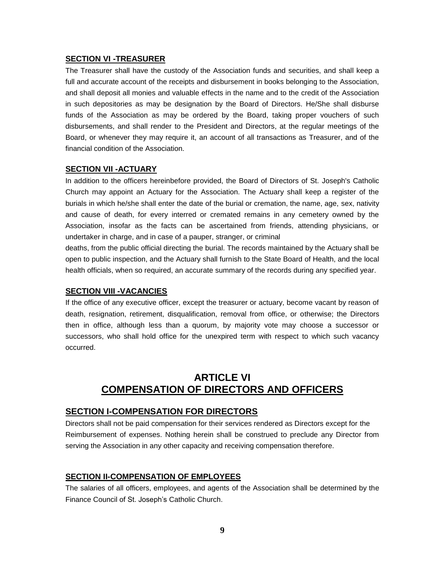#### **SECTION VI -TREASURER**

The Treasurer shall have the custody of the Association funds and securities, and shall keep a full and accurate account of the receipts and disbursement in books belonging to the Association, and shall deposit all monies and valuable effects in the name and to the credit of the Association in such depositories as may be designation by the Board of Directors. He/She shall disburse funds of the Association as may be ordered by the Board, taking proper vouchers of such disbursements, and shall render to the President and Directors, at the regular meetings of the Board, or whenever they may require it, an account of all transactions as Treasurer, and of the financial condition of the Association.

#### **SECTION VII -ACTUARY**

In addition to the officers hereinbefore provided, the Board of Directors of St. Joseph's Catholic Church may appoint an Actuary for the Association. The Actuary shall keep a register of the burials in which he/she shall enter the date of the burial or cremation, the name, age, sex, nativity and cause of death, for every interred or cremated remains in any cemetery owned by the Association, insofar as the facts can be ascertained from friends, attending physicians, or undertaker in charge, and in case of a pauper, stranger, or criminal

deaths, from the public official directing the burial. The records maintained by the Actuary shall be open to public inspection, and the Actuary shall furnish to the State Board of Health, and the local health officials, when so required, an accurate summary of the records during any specified year.

#### **SECTION VIII -VACANCIES**

If the office of any executive officer, except the treasurer or actuary, become vacant by reason of death, resignation, retirement, disqualification, removal from office, or otherwise; the Directors then in office, although less than a quorum, by majority vote may choose a successor or successors, who shall hold office for the unexpired term with respect to which such vacancy occurred.

## **ARTICLE VI COMPENSATION OF DIRECTORS AND OFFICERS**

#### **SECTION I-COMPENSATION FOR DIRECTORS**

Directors shall not be paid compensation for their services rendered as Directors except for the Reimbursement of expenses. Nothing herein shall be construed to preclude any Director from serving the Association in any other capacity and receiving compensation therefore.

#### **SECTION II-COMPENSATION OF EMPLOYEES**

The salaries of all officers, employees, and agents of the Association shall be determined by the Finance Council of St. Joseph's Catholic Church.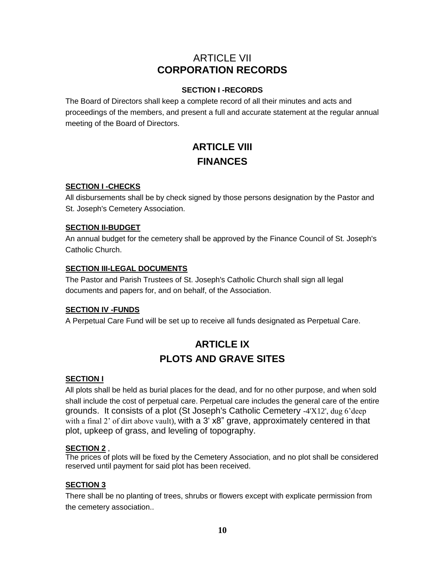## ARTICLE VII **CORPORATION RECORDS**

### **SECTION I -RECORDS**

The Board of Directors shall keep a complete record of all their minutes and acts and proceedings of the members, and present a full and accurate statement at the regular annual meeting of the Board of Directors.

# **ARTICLE VIII FINANCES**

## **SECTION I -CHECKS**

All disbursements shall be by check signed by those persons designation by the Pastor and St. Joseph's Cemetery Association.

## **SECTION II-BUDGET**

An annual budget for the cemetery shall be approved by the Finance Council of St. Joseph's Catholic Church.

## **SECTION III-LEGAL DOCUMENTS**

The Pastor and Parish Trustees of St. Joseph's Catholic Church shall sign all legal documents and papers for, and on behalf, of the Association.

### **SECTION IV -FUNDS**

A Perpetual Care Fund will be set up to receive all funds designated as Perpetual Care.

# **ARTICLE IX PLOTS AND GRAVE SITES**

### **SECTION I**

All plots shall be held as burial places for the dead, and for no other purpose, and when sold shall include the cost of perpetual care. Perpetual care includes the general care of the entire grounds. It consists of a plot (St Joseph's Catholic Cemetery -4'X12', dug 6'deep with a final 2' of dirt above vault), with a 3' x8" grave, approximately centered in that plot, upkeep of grass, and leveling of topography.

### **SECTION 2** ,

The prices of plots will be fixed by the Cemetery Association, and no plot shall be considered reserved until payment for said plot has been received.

### **SECTION 3**

There shall be no planting of trees, shrubs or flowers except with explicate permission from the cemetery association..